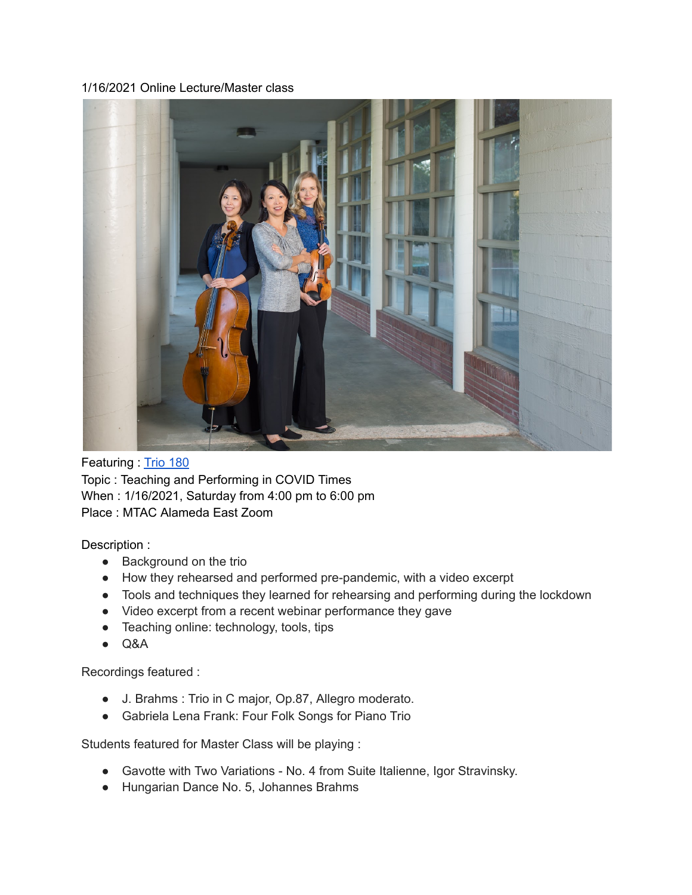## 1/16/2021 Online Lecture/Master class



Featuring : [Trio](https://www.trio180.com/) 180 Topic : Teaching and Performing in COVID Times When : 1/16/2021, Saturday from 4:00 pm to 6:00 pm Place : MTAC Alameda East Zoom

Description :

- Background on the trio
- How they rehearsed and performed pre-pandemic, with a video excerpt
- Tools and techniques they learned for rehearsing and performing during the lockdown
- Video excerpt from a recent webinar performance they gave
- Teaching online: technology, tools, tips
- Q&A

Recordings featured :

- J. Brahms : Trio in C major, Op.87, Allegro moderato.
- Gabriela Lena Frank: Four Folk Songs for Piano Trio

Students featured for Master Class will be playing :

- Gavotte with Two Variations No. 4 from Suite Italienne, Igor Stravinsky.
- Hungarian Dance No. 5, Johannes Brahms